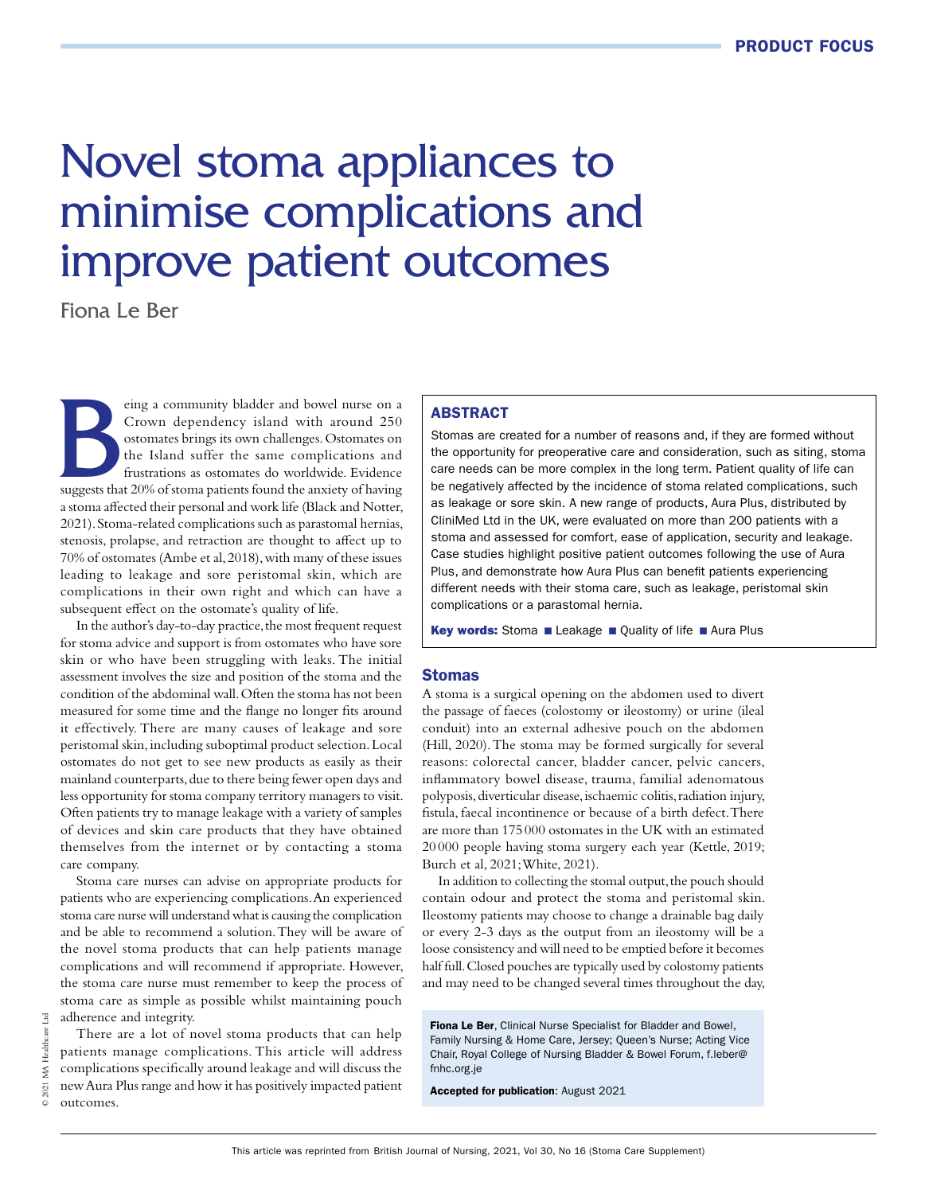# Novel stoma appliances to minimise complications and improve patient outcomes

Fiona Le Ber

EV also community bladder and bowel nurse on a Crown dependency island with around 250 ostomates brings its own challenges. Ostomates on the Island suffer the same complications and frustrations as ostomates do worldwide. Crown dependency island with around 250 ostomates brings its own challenges. Ostomates on the Island suffer the same complications and frustrations as ostomates do worldwide. Evidence a stoma affected their personal and work life (Black and Notter, 2021). Stoma-related complications such as parastomal hernias, stenosis, prolapse, and retraction are thought to affect up to 70% of ostomates (Ambe et al, 2018), with many of these issues leading to leakage and sore peristomal skin, which are complications in their own right and which can have a subsequent effect on the ostomate's quality of life.

In the author's day-to-day practice, the most frequent request for stoma advice and support is from ostomates who have sore skin or who have been struggling with leaks. The initial assessment involves the size and position of the stoma and the condition of the abdominal wall. Often the stoma has not been measured for some time and the flange no longer fits around it effectively. There are many causes of leakage and sore peristomal skin, including suboptimal product selection. Local ostomates do not get to see new products as easily as their mainland counterparts, due to there being fewer open days and less opportunity for stoma company territory managers to visit. Often patients try to manage leakage with a variety of samples of devices and skin care products that they have obtained themselves from the internet or by contacting a stoma care company.

Stoma care nurses can advise on appropriate products for patients who are experiencing complications. An experienced stoma care nurse will understand what is causing the complication and be able to recommend a solution. They will be aware of the novel stoma products that can help patients manage complications and will recommend if appropriate. However, the stoma care nurse must remember to keep the process of stoma care as simple as possible whilst maintaining pouch adherence and integrity.

There are a lot of novel stoma products that can help patients manage complications. This article will address complications specifically around leakage and will discuss the new Aura Plus range and how it has positively impacted patient outcomes.

# ABSTRACT

Stomas are created for a number of reasons and, if they are formed without the opportunity for preoperative care and consideration, such as siting, stoma care needs can be more complex in the long term. Patient quality of life can be negatively affected by the incidence of stoma related complications, such as leakage or sore skin. A new range of products, Aura Plus, distributed by CliniMed Ltd in the UK, were evaluated on more than 200 patients with a stoma and assessed for comfort, ease of application, security and leakage. Case studies highlight positive patient outcomes following the use of Aura Plus, and demonstrate how Aura Plus can benefit patients experiencing different needs with their stoma care, such as leakage, peristomal skin complications or a parastomal hernia.

Key words: Stoma ■ Leakage ■ Quality of life ■ Aura Plus

#### **Stomas**

A stoma is a surgical opening on the abdomen used to divert the passage of faeces (colostomy or ileostomy) or urine (ileal conduit) into an external adhesive pouch on the abdomen (Hill, 2020). The stoma may be formed surgically for several reasons: colorectal cancer, bladder cancer, pelvic cancers, inflammatory bowel disease, trauma, familial adenomatous polyposis, diverticular disease, ischaemic colitis, radiation injury, fistula, faecal incontinence or because of a birth defect. There are more than 175 000 ostomates in the UK with an estimated 20 000 people having stoma surgery each year (Kettle, 2019; Burch et al, 2021; White, 2021).

In addition to collecting the stomal output, the pouch should contain odour and protect the stoma and peristomal skin. Ileostomy patients may choose to change a drainable bag daily or every 2-3 days as the output from an ileostomy will be a loose consistency and will need to be emptied before it becomes half full. Closed pouches are typically used by colostomy patients and may need to be changed several times throughout the day,

Fiona Le Ber, Clinical Nurse Specialist for Bladder and Bowel, Family Nursing & Home Care, Jersey; Queen's Nurse; Acting Vice Chair, Royal College of Nursing Bladder & Bowel Forum, f.leber@ fnhc.org.je

Accepted for publication: August 2021

 $\mathbb{E}$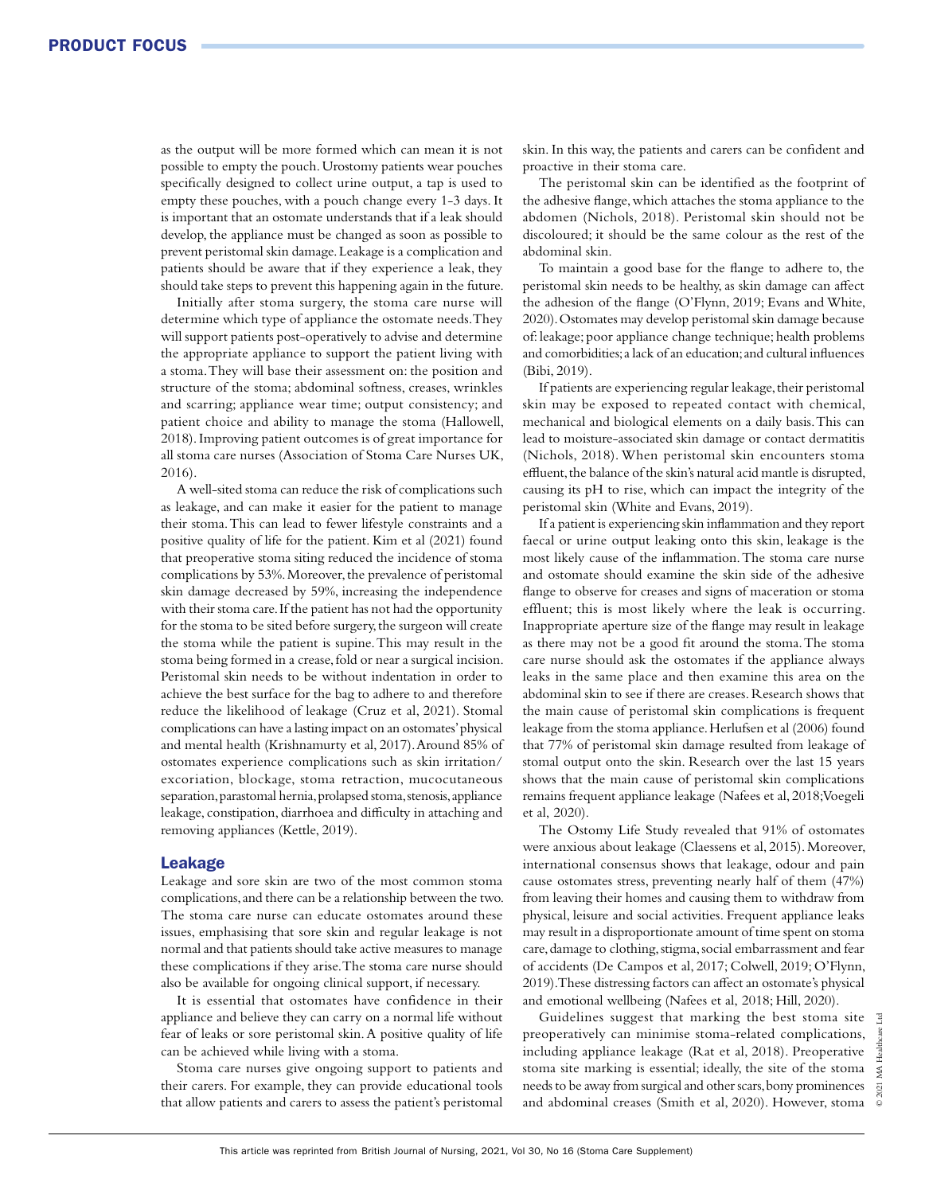as the output will be more formed which can mean it is not possible to empty the pouch. Urostomy patients wear pouches specifically designed to collect urine output, a tap is used to empty these pouches, with a pouch change every 1-3 days. It is important that an ostomate understands that if a leak should develop, the appliance must be changed as soon as possible to prevent peristomal skin damage. Leakage is a complication and patients should be aware that if they experience a leak, they should take steps to prevent this happening again in the future.

Initially after stoma surgery, the stoma care nurse will determine which type of appliance the ostomate needs. They will support patients post-operatively to advise and determine the appropriate appliance to support the patient living with a stoma. They will base their assessment on: the position and structure of the stoma; abdominal softness, creases, wrinkles and scarring; appliance wear time; output consistency; and patient choice and ability to manage the stoma (Hallowell, 2018). Improving patient outcomes is of great importance for all stoma care nurses (Association of Stoma Care Nurses UK, 2016).

A well-sited stoma can reduce the risk of complications such as leakage, and can make it easier for the patient to manage their stoma. This can lead to fewer lifestyle constraints and a positive quality of life for the patient. Kim et al (2021) found that preoperative stoma siting reduced the incidence of stoma complications by 53%. Moreover, the prevalence of peristomal skin damage decreased by 59%, increasing the independence with their stoma care. If the patient has not had the opportunity for the stoma to be sited before surgery, the surgeon will create the stoma while the patient is supine. This may result in the stoma being formed in a crease, fold or near a surgical incision. Peristomal skin needs to be without indentation in order to achieve the best surface for the bag to adhere to and therefore reduce the likelihood of leakage (Cruz et al, 2021). Stomal complications can have a lasting impact on an ostomates' physical and mental health (Krishnamurty et al, 2017). Around 85% of ostomates experience complications such as skin irritation/ excoriation, blockage, stoma retraction, mucocutaneous separation, parastomal hernia, prolapsed stoma, stenosis, appliance leakage, constipation, diarrhoea and difficulty in attaching and removing appliances (Kettle, 2019).

# Leakage

Leakage and sore skin are two of the most common stoma complications, and there can be a relationship between the two. The stoma care nurse can educate ostomates around these issues, emphasising that sore skin and regular leakage is not normal and that patients should take active measures to manage these complications if they arise. The stoma care nurse should also be available for ongoing clinical support, if necessary.

It is essential that ostomates have confidence in their appliance and believe they can carry on a normal life without fear of leaks or sore peristomal skin. A positive quality of life can be achieved while living with a stoma.

Stoma care nurses give ongoing support to patients and their carers. For example, they can provide educational tools that allow patients and carers to assess the patient's peristomal skin. In this way, the patients and carers can be confident and proactive in their stoma care.

The peristomal skin can be identified as the footprint of the adhesive flange, which attaches the stoma appliance to the abdomen (Nichols, 2018). Peristomal skin should not be discoloured; it should be the same colour as the rest of the abdominal skin.

To maintain a good base for the flange to adhere to, the peristomal skin needs to be healthy, as skin damage can affect the adhesion of the flange (O'Flynn, 2019; Evans and White, 2020). Ostomates may develop peristomal skin damage because of: leakage; poor appliance change technique; health problems and comorbidities; a lack of an education; and cultural influences (Bibi, 2019).

If patients are experiencing regular leakage, their peristomal skin may be exposed to repeated contact with chemical, mechanical and biological elements on a daily basis. This can lead to moisture-associated skin damage or contact dermatitis (Nichols, 2018). When peristomal skin encounters stoma effluent, the balance of the skin's natural acid mantle is disrupted, causing its pH to rise, which can impact the integrity of the peristomal skin (White and Evans, 2019).

If a patient is experiencing skin inflammation and they report faecal or urine output leaking onto this skin, leakage is the most likely cause of the inflammation. The stoma care nurse and ostomate should examine the skin side of the adhesive flange to observe for creases and signs of maceration or stoma effluent; this is most likely where the leak is occurring. Inappropriate aperture size of the flange may result in leakage as there may not be a good fit around the stoma. The stoma care nurse should ask the ostomates if the appliance always leaks in the same place and then examine this area on the abdominal skin to see if there are creases. Research shows that the main cause of peristomal skin complications is frequent leakage from the stoma appliance. Herlufsen et al (2006) found that 77% of peristomal skin damage resulted from leakage of stomal output onto the skin. Research over the last 15 years shows that the main cause of peristomal skin complications remains frequent appliance leakage (Nafees et al, 2018; Voegeli et al, 2020).

The Ostomy Life Study revealed that 91% of ostomates were anxious about leakage (Claessens et al, 2015). Moreover, international consensus shows that leakage, odour and pain cause ostomates stress, preventing nearly half of them (47%) from leaving their homes and causing them to withdraw from physical, leisure and social activities. Frequent appliance leaks may result in a disproportionate amount of time spent on stoma care, damage to clothing, stigma, social embarrassment and fear of accidents (De Campos et al, 2017; Colwell, 2019; O'Flynn, 2019). These distressing factors can affect an ostomate's physical and emotional wellbeing (Nafees et al, 2018; Hill, 2020).

Guidelines suggest that marking the best stoma site preoperatively can minimise stoma-related complications, including appliance leakage (Rat et al, 2018). Preoperative stoma site marking is essential; ideally, the site of the stoma needs to be away from surgical and other scars, bony prominences and abdominal creases (Smith et al, 2020). However, stoma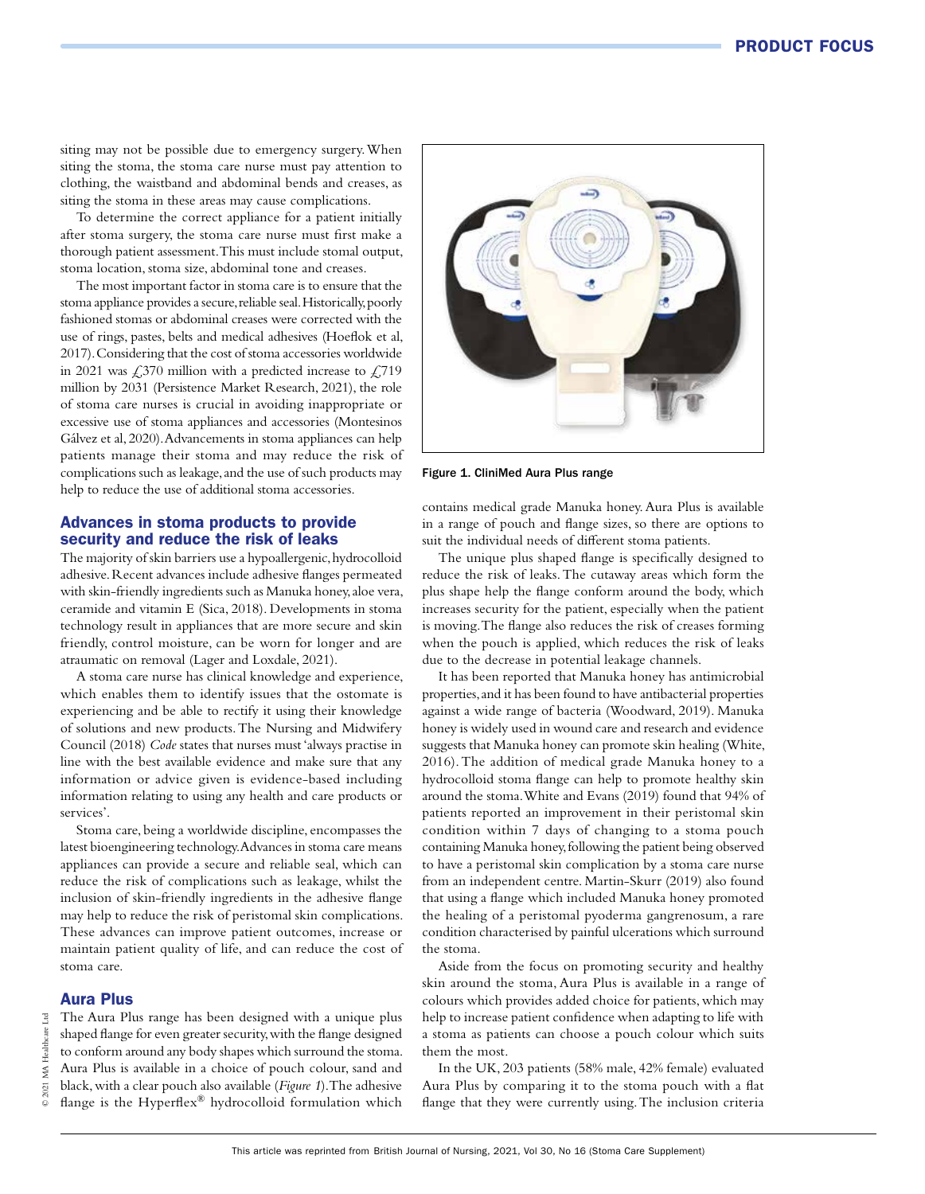siting may not be possible due to emergency surgery. When siting the stoma, the stoma care nurse must pay attention to clothing, the waistband and abdominal bends and creases, as siting the stoma in these areas may cause complications.

To determine the correct appliance for a patient initially after stoma surgery, the stoma care nurse must first make a thorough patient assessment. This must include stomal output, stoma location, stoma size, abdominal tone and creases.

The most important factor in stoma care is to ensure that the stoma appliance provides a secure, reliable seal. Historically, poorly fashioned stomas or abdominal creases were corrected with the use of rings, pastes, belts and medical adhesives (Hoeflok et al, 2017). Considering that the cost of stoma accessories worldwide in 2021 was  $\text{\textsterling}370$  million with a predicted increase to  $\text{\textsterling}719$ million by 2031 (Persistence Market Research, 2021), the role of stoma care nurses is crucial in avoiding inappropriate or excessive use of stoma appliances and accessories (Montesinos Gálvez et al, 2020). Advancements in stoma appliances can help patients manage their stoma and may reduce the risk of complications such as leakage, and the use of such products may help to reduce the use of additional stoma accessories.

# Advances in stoma products to provide security and reduce the risk of leaks

The majority of skin barriers use a hypoallergenic, hydrocolloid adhesive. Recent advances include adhesive flanges permeated with skin-friendly ingredients such as Manuka honey, aloe vera, ceramide and vitamin E (Sica, 2018). Developments in stoma technology result in appliances that are more secure and skin friendly, control moisture, can be worn for longer and are atraumatic on removal (Lager and Loxdale, 2021).

A stoma care nurse has clinical knowledge and experience, which enables them to identify issues that the ostomate is experiencing and be able to rectify it using their knowledge of solutions and new products. The Nursing and Midwifery Council (2018) *Code* states that nurses must 'always practise in line with the best available evidence and make sure that any information or advice given is evidence-based including information relating to using any health and care products or services'.

Stoma care, being a worldwide discipline, encompasses the latest bioengineering technology. Advances in stoma care means appliances can provide a secure and reliable seal, which can reduce the risk of complications such as leakage, whilst the inclusion of skin-friendly ingredients in the adhesive flange may help to reduce the risk of peristomal skin complications. These advances can improve patient outcomes, increase or maintain patient quality of life, and can reduce the cost of stoma care.

#### Aura Plus

The Aura Plus range has been designed with a unique plus shaped flange for even greater security, with the flange designed to conform around any body shapes which surround the stoma. Aura Plus is available in a choice of pouch colour, sand and black, with a clear pouch also available (*Figure 1*). The adhesive flange is the Hyperflex® hydrocolloid formulation which



Figure 1. CliniMed Aura Plus range

contains medical grade Manuka honey. Aura Plus is available in a range of pouch and flange sizes, so there are options to suit the individual needs of different stoma patients.

The unique plus shaped flange is specifically designed to reduce the risk of leaks. The cutaway areas which form the plus shape help the flange conform around the body, which increases security for the patient, especially when the patient is moving. The flange also reduces the risk of creases forming when the pouch is applied, which reduces the risk of leaks due to the decrease in potential leakage channels.

It has been reported that Manuka honey has antimicrobial properties, and it has been found to have antibacterial properties against a wide range of bacteria (Woodward, 2019). Manuka honey is widely used in wound care and research and evidence suggests that Manuka honey can promote skin healing (White, 2016). The addition of medical grade Manuka honey to a hydrocolloid stoma flange can help to promote healthy skin around the stoma. White and Evans (2019) found that 94% of patients reported an improvement in their peristomal skin condition within 7 days of changing to a stoma pouch containing Manuka honey, following the patient being observed to have a peristomal skin complication by a stoma care nurse from an independent centre. Martin-Skurr (2019) also found that using a flange which included Manuka honey promoted the healing of a peristomal pyoderma gangrenosum, a rare condition characterised by painful ulcerations which surround the stoma.

Aside from the focus on promoting security and healthy skin around the stoma, Aura Plus is available in a range of colours which provides added choice for patients, which may help to increase patient confidence when adapting to life with a stoma as patients can choose a pouch colour which suits them the most.

In the UK, 203 patients (58% male, 42% female) evaluated Aura Plus by comparing it to the stoma pouch with a flat flange that they were currently using. The inclusion criteria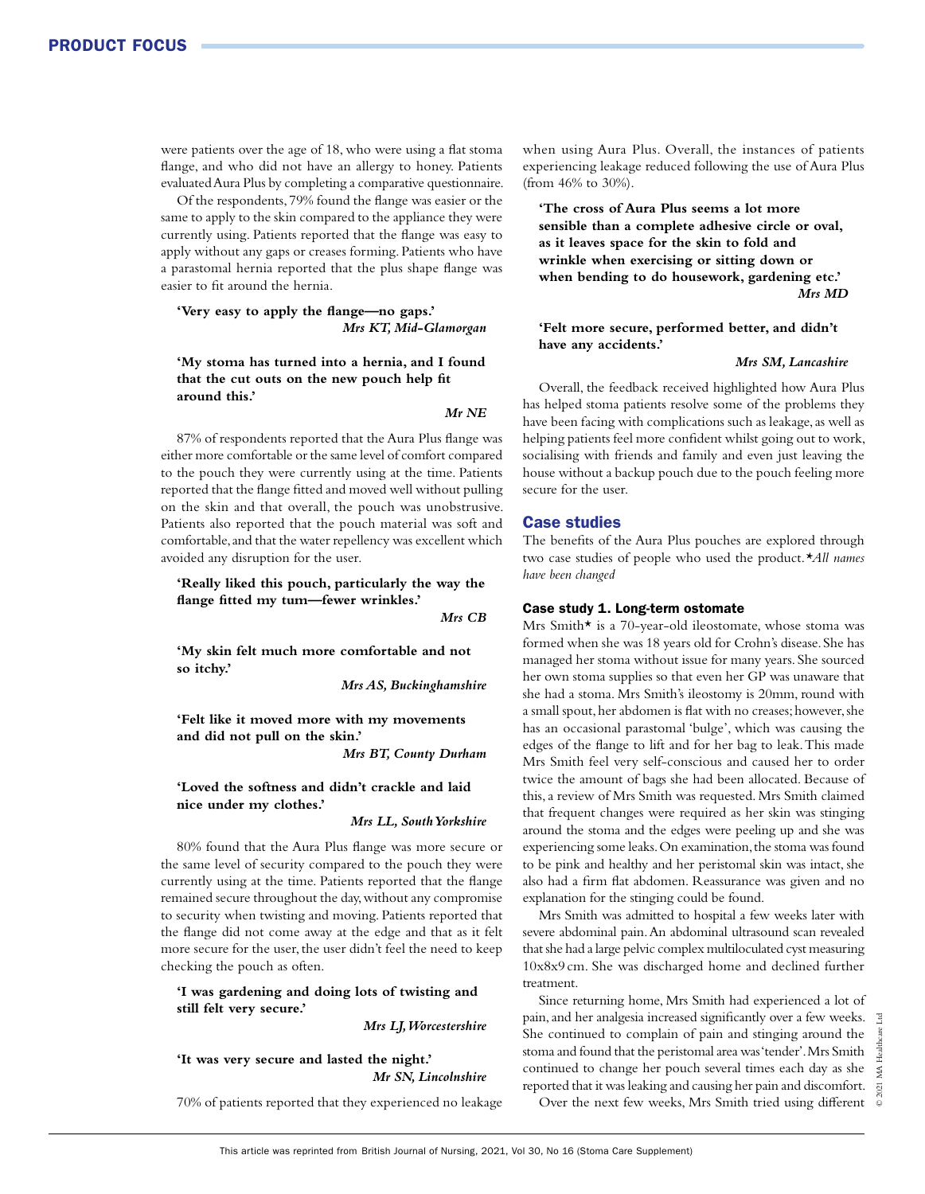were patients over the age of 18, who were using a flat stoma flange, and who did not have an allergy to honey. Patients evaluated Aura Plus by completing a comparative questionnaire.

Of the respondents, 79% found the flange was easier or the same to apply to the skin compared to the appliance they were currently using. Patients reported that the flange was easy to apply without any gaps or creases forming. Patients who have a parastomal hernia reported that the plus shape flange was easier to fit around the hernia.

**'Very easy to apply the flange—no gaps.'** *Mrs KT, Mid-Glamorgan*

# **'My stoma has turned into a hernia, and I found that the cut outs on the new pouch help fit around this.'**

#### *Mr NE*

87% of respondents reported that the Aura Plus flange was either more comfortable or the same level of comfort compared to the pouch they were currently using at the time. Patients reported that the flange fitted and moved well without pulling on the skin and that overall, the pouch was unobstrusive. Patients also reported that the pouch material was soft and comfortable, and that the water repellency was excellent which avoided any disruption for the user.

**'Really liked this pouch, particularly the way the flange fitted my tum—fewer wrinkles.'**

*Mrs CB*

**'My skin felt much more comfortable and not so itchy.'**

*Mrs AS, Buckinghamshire* 

**'Felt like it moved more with my movements and did not pull on the skin.'**

*Mrs BT, County Durham* 

**'Loved the softness and didn't crackle and laid nice under my clothes.'**

*Mrs LL, South Yorkshire* 

80% found that the Aura Plus flange was more secure or the same level of security compared to the pouch they were currently using at the time. Patients reported that the flange remained secure throughout the day, without any compromise to security when twisting and moving. Patients reported that the flange did not come away at the edge and that as it felt more secure for the user, the user didn't feel the need to keep checking the pouch as often.

# **'I was gardening and doing lots of twisting and still felt very secure.'**

*Mrs LJ, Worcestershire* 

#### **'It was very secure and lasted the night.'** *Mr SN, Lincolnshire*

70% of patients reported that they experienced no leakage

when using Aura Plus. Overall, the instances of patients experiencing leakage reduced following the use of Aura Plus (from 46% to 30%).

**'The cross of Aura Plus seems a lot more sensible than a complete adhesive circle or oval, as it leaves space for the skin to fold and wrinkle when exercising or sitting down or when bending to do housework, gardening etc.'** *Mrs MD*

#### **'Felt more secure, performed better, and didn't have any accidents.'**

#### *Mrs SM, Lancashire*

Overall, the feedback received highlighted how Aura Plus has helped stoma patients resolve some of the problems they have been facing with complications such as leakage, as well as helping patients feel more confident whilst going out to work, socialising with friends and family and even just leaving the house without a backup pouch due to the pouch feeling more secure for the user.

# Case studies

The benefits of the Aura Plus pouches are explored through two case studies of people who used the product.*\*All names have been changed*

#### Case study 1. Long-term ostomate

Mrs Smith\* is a 70-year-old ileostomate, whose stoma was formed when she was 18 years old for Crohn's disease. She has managed her stoma without issue for many years. She sourced her own stoma supplies so that even her GP was unaware that she had a stoma. Mrs Smith's ileostomy is 20mm, round with a small spout, her abdomen is flat with no creases; however, she has an occasional parastomal 'bulge', which was causing the edges of the flange to lift and for her bag to leak. This made Mrs Smith feel very self-conscious and caused her to order twice the amount of bags she had been allocated. Because of this, a review of Mrs Smith was requested. Mrs Smith claimed that frequent changes were required as her skin was stinging around the stoma and the edges were peeling up and she was experiencing some leaks. On examination, the stoma was found to be pink and healthy and her peristomal skin was intact, she also had a firm flat abdomen. Reassurance was given and no explanation for the stinging could be found.

Mrs Smith was admitted to hospital a few weeks later with severe abdominal pain. An abdominal ultrasound scan revealed that she had a large pelvic complex multiloculated cyst measuring 10x8x9 cm. She was discharged home and declined further treatment.

Since returning home, Mrs Smith had experienced a lot of pain, and her analgesia increased significantly over a few weeks. She continued to complain of pain and stinging around the stoma and found that the peristomal area was 'tender'. Mrs Smith continued to change her pouch several times each day as she reported that it was leaking and causing her pain and discomfort.

Over the next few weeks, Mrs Smith tried using different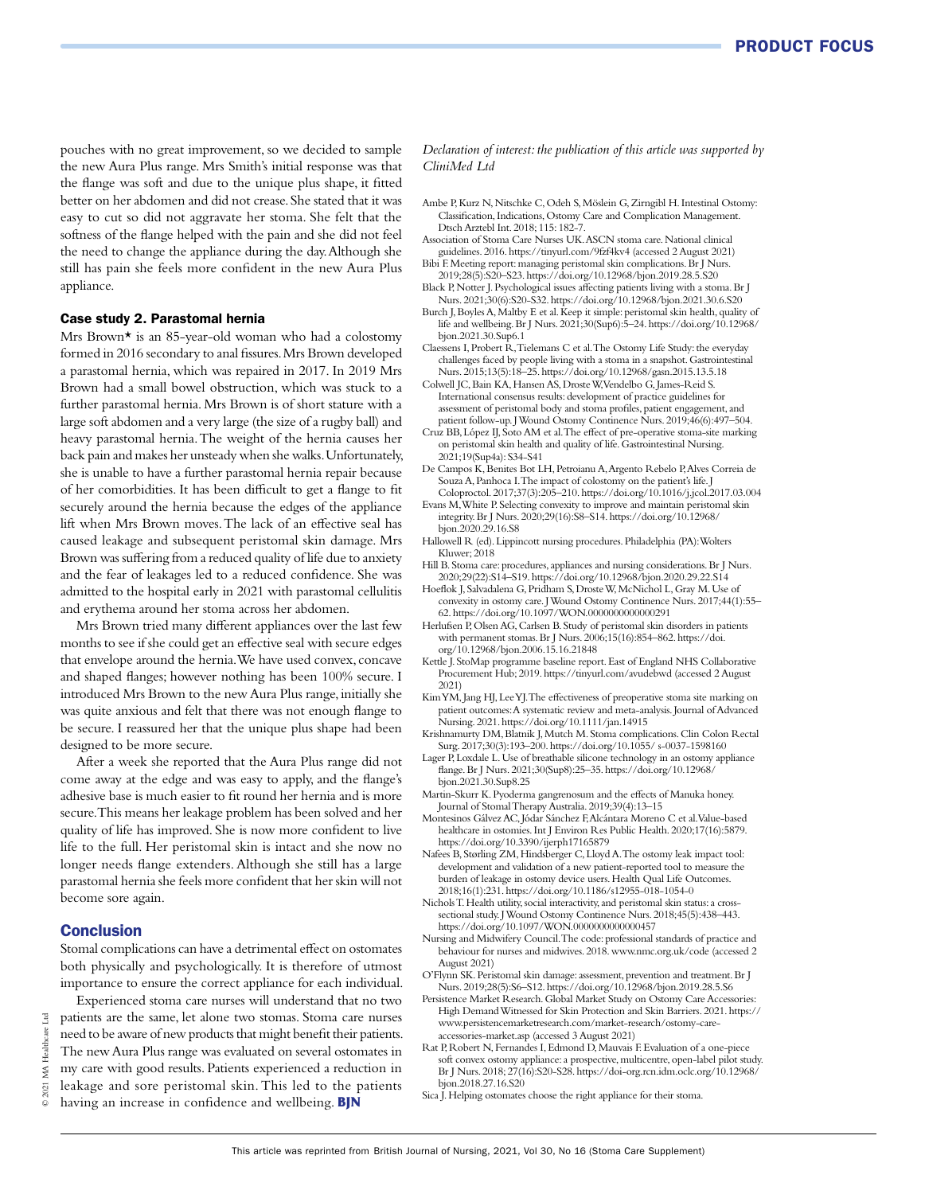pouches with no great improvement, so we decided to sample the new Aura Plus range. Mrs Smith's initial response was that the flange was soft and due to the unique plus shape, it fitted better on her abdomen and did not crease. She stated that it was easy to cut so did not aggravate her stoma. She felt that the softness of the flange helped with the pain and she did not feel the need to change the appliance during the day. Although she still has pain she feels more confident in the new Aura Plus appliance.

#### Case study 2. Parastomal hernia

Mrs Brown\* is an 85-year-old woman who had a colostomy formed in 2016 secondary to anal fissures. Mrs Brown developed a parastomal hernia, which was repaired in 2017. In 2019 Mrs Brown had a small bowel obstruction, which was stuck to a further parastomal hernia. Mrs Brown is of short stature with a large soft abdomen and a very large (the size of a rugby ball) and heavy parastomal hernia. The weight of the hernia causes her back pain and makes her unsteady when she walks. Unfortunately, she is unable to have a further parastomal hernia repair because of her comorbidities. It has been difficult to get a flange to fit securely around the hernia because the edges of the appliance lift when Mrs Brown moves. The lack of an effective seal has caused leakage and subsequent peristomal skin damage. Mrs Brown was suffering from a reduced quality of life due to anxiety and the fear of leakages led to a reduced confidence. She was admitted to the hospital early in 2021 with parastomal cellulitis and erythema around her stoma across her abdomen.

Mrs Brown tried many different appliances over the last few months to see if she could get an effective seal with secure edges that envelope around the hernia. We have used convex, concave and shaped flanges; however nothing has been 100% secure. I introduced Mrs Brown to the new Aura Plus range, initially she was quite anxious and felt that there was not enough flange to be secure. I reassured her that the unique plus shape had been designed to be more secure.

After a week she reported that the Aura Plus range did not come away at the edge and was easy to apply, and the flange's adhesive base is much easier to fit round her hernia and is more secure. This means her leakage problem has been solved and her quality of life has improved. She is now more confident to live life to the full. Her peristomal skin is intact and she now no longer needs flange extenders. Although she still has a large parastomal hernia she feels more confident that her skin will not become sore again.

#### **Conclusion**

Stomal complications can have a detrimental effect on ostomates both physically and psychologically. It is therefore of utmost importance to ensure the correct appliance for each individual.

Experienced stoma care nurses will understand that no two patients are the same, let alone two stomas. Stoma care nurses need to be aware of new products that might benefit their patients. The new Aura Plus range was evaluated on several ostomates in my care with good results. Patients experienced a reduction in leakage and sore peristomal skin. This led to the patients having an increase in confidence and wellbeing. **BJN**

#### *Declaration of interest: the publication of this article was supported by CliniMed Ltd*

- Ambe P, Kurz N, Nitschke C, Odeh S, Möslein G, Zirngibl H. Intestinal Ostomy: Classification, Indications, Ostomy Care and Complication Management. Dtsch Arztebl Int. 2018; 115: 182-7.
- Association of Stoma Care Nurses UK. ASCN stoma care. National clinical guidelines. 2016. https://tinyurl.com/9fzf4kv4 (accessed 2 August 2021) Bibi F. Meeting report: managing peristomal skin complications. Br J Nurs.
- 2019;28(5):S20–S23. https://doi.org/10.12968/bjon.2019.28.5.S20 Black P, Notter J. Psychological issues affecting patients living with a stoma. Br J Nurs. 2021;30(6):S20-S32. https://doi.org/10.12968/bjon.2021.30.6.S20
- Burch J, Boyles A, Maltby E et al. Keep it simple: peristomal skin health, quality of life and wellbeing. Br J Nurs. 2021;30(Sup6):5–24. https://doi.org/10.12968/ bjon.2021.30.Sup6.1
- Claessens I, Probert R, Tielemans C et al. The Ostomy Life Study: the everyday challenges faced by people living with a stoma in a snapshot. Gastrointestinal Nurs. 2015;13(5):18–25. https://doi.org/10.12968/gasn.2015.13.5.18
- Colwell JC, Bain KA, Hansen AS, Droste W, Vendelbo G, James-Reid S. International consensus results: development of practice guidelines for assessment of peristomal body and stoma profiles, patient engagement, and patient follow-up. J Wound Ostomy Continence Nurs. 2019;46(6):497–504.
- Cruz BB, López IJ, Soto AM et al. The effect of pre-operative stoma-site marking on peristomal skin health and quality of life. Gastrointestinal Nursing. 2021;19(Sup4a): S34-S41
- De Campos K, Benites Bot LH, Petroianu A, Argento Rebelo P, Alves Correia de Souza A, Panhoca I. The impact of colostomy on the patient's life. J Coloproctol. 2017;37(3):205–210. https://doi.org/10.1016/j.jcol.2017.03.004
- Evans M, White P. Selecting convexity to improve and maintain peristomal skin integrity. Br J Nurs. 2020;29(16):S8–S14. https://doi.org/10.12968/ bjon.2020.29.16.S8
- Hallowell R (ed). Lippincott nursing procedures. Philadelphia (PA): Wolters Kluwer; 2018
- Hill B. Stoma care: procedures, appliances and nursing considerations. Br J Nurs. 2020;29(22):S14–S19. https://doi.org/10.12968/bjon.2020.29.22.S14
- Hoeflok J, Salvadalena G, Pridham S, Droste W, McNichol L, Gray M. Use of convexity in ostomy care. J Wound Ostomy Continence Nurs. 2017;44(1):55– 62. https://doi.org/10.1097/WON.0000000000000291
- Herlufsen P, Olsen AG, Carlsen B. Study of peristomal skin disorders in patients with permanent stomas. Br J Nurs. 2006;15(16):854–862. https://doi. org/10.12968/bjon.2006.15.16.21848
- Kettle J. StoMap programme baseline report. East of England NHS Collaborative Procurement Hub; 2019. https://tinyurl.com/avudebwd (accessed 2 August 2021)
- Kim YM, Jang HJ, Lee YJ. The effectiveness of preoperative stoma site marking on patient outcomes: A systematic review and meta-analysis. Journal of Advanced Nursing. 2021. https://doi.org/10.1111/jan.14915
- Krishnamurty DM, Blatnik J, Mutch M. Stoma complications. Clin Colon Rectal Surg. 2017;30(3):193–200. https://doi.org/10.1055/ s-0037-1598160
- Lager P, Loxdale L. Use of breathable silicone technology in an ostomy appliance flange. Br J Nurs. 2021;30(Sup8):25–35. https://doi.org/10.12968/ bjon.2021.30.Sup8.25
- Martin-Skurr K. Pyoderma gangrenosum and the effects of Manuka honey. Journal of Stomal Therapy Australia. 2019;39(4):13–15
- Montesinos Gálvez AC, Jódar Sánchez F, Alcántara Moreno C et al. Value-based healthcare in ostomies. Int J Environ Res Public Health. 2020;17(16):5879. https://doi.org/10.3390/ijerph17165879
- Nafees B, Størling ZM, Hindsberger C, Lloyd A. The ostomy leak impact tool: development and validation of a new patient-reported tool to measure the burden of leakage in ostomy device users. Health Qual Life Outcomes. 2018;16(1):231. https://doi.org/10.1186/s12955-018-1054-0
- Nichols T. Health utility, social interactivity, and peristomal skin status: a crosssectional study. J Wound Ostomy Continence Nurs. 2018;45(5):438–443. https://doi.org/10.1097/WON.0000000000000457
- Nursing and Midwifery Council. The code: professional standards of practice and behaviour for nurses and midwives. 2018. www.nmc.org.uk/code (accessed 2 August 2021)
- O'Flynn SK. Peristomal skin damage: assessment, prevention and treatment. Br J Nurs. 2019;28(5):S6–S12. https://doi.org/10.12968/bjon.2019.28.5.S6
- Persistence Market Research. Global Market Study on Ostomy Care Accessories: High Demand Witnessed for Skin Protection and Skin Barriers. 2021. https:// www.persistencemarketresearch.com/market-research/ostomy-careaccessories-market.asp (accessed 3 August 2021)
- Rat P, Robert N, Fernandes I, Edmond D, Mauvais F. Evaluation of a one-piece soft convex ostomy appliance: a prospective, multicentre, open-label pilot study. Br J Nurs. 2018; 27(16):S20-S28. https://doi-org.rcn.idm.oclc.org/10.12968/ bjon.2018.27.16.S20
- Sica J. Helping ostomates choose the right appliance for their stoma.